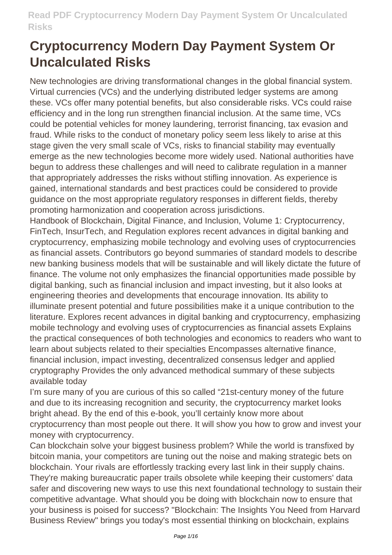New technologies are driving transformational changes in the global financial system. Virtual currencies (VCs) and the underlying distributed ledger systems are among these. VCs offer many potential benefits, but also considerable risks. VCs could raise efficiency and in the long run strengthen financial inclusion. At the same time, VCs could be potential vehicles for money laundering, terrorist financing, tax evasion and fraud. While risks to the conduct of monetary policy seem less likely to arise at this stage given the very small scale of VCs, risks to financial stability may eventually emerge as the new technologies become more widely used. National authorities have begun to address these challenges and will need to calibrate regulation in a manner that appropriately addresses the risks without stifling innovation. As experience is gained, international standards and best practices could be considered to provide guidance on the most appropriate regulatory responses in different fields, thereby promoting harmonization and cooperation across jurisdictions.

Handbook of Blockchain, Digital Finance, and Inclusion, Volume 1: Cryptocurrency, FinTech, InsurTech, and Regulation explores recent advances in digital banking and cryptocurrency, emphasizing mobile technology and evolving uses of cryptocurrencies as financial assets. Contributors go beyond summaries of standard models to describe new banking business models that will be sustainable and will likely dictate the future of finance. The volume not only emphasizes the financial opportunities made possible by digital banking, such as financial inclusion and impact investing, but it also looks at engineering theories and developments that encourage innovation. Its ability to illuminate present potential and future possibilities make it a unique contribution to the literature. Explores recent advances in digital banking and cryptocurrency, emphasizing mobile technology and evolving uses of cryptocurrencies as financial assets Explains the practical consequences of both technologies and economics to readers who want to learn about subjects related to their specialties Encompasses alternative finance, financial inclusion, impact investing, decentralized consensus ledger and applied cryptography Provides the only advanced methodical summary of these subjects available today

I'm sure many of you are curious of this so called "21st-century money of the future and due to its increasing recognition and security, the cryptocurrency market looks bright ahead. By the end of this e-book, you'll certainly know more about cryptocurrency than most people out there. It will show you how to grow and invest your money with cryptocurrency.

Can blockchain solve your biggest business problem? While the world is transfixed by bitcoin mania, your competitors are tuning out the noise and making strategic bets on blockchain. Your rivals are effortlessly tracking every last link in their supply chains. They're making bureaucratic paper trails obsolete while keeping their customers' data safer and discovering new ways to use this next foundational technology to sustain their competitive advantage. What should you be doing with blockchain now to ensure that your business is poised for success? "Blockchain: The Insights You Need from Harvard Business Review" brings you today's most essential thinking on blockchain, explains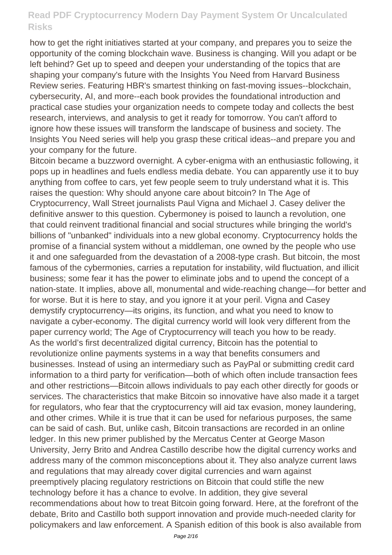how to get the right initiatives started at your company, and prepares you to seize the opportunity of the coming blockchain wave. Business is changing. Will you adapt or be left behind? Get up to speed and deepen your understanding of the topics that are shaping your company's future with the Insights You Need from Harvard Business Review series. Featuring HBR's smartest thinking on fast-moving issues--blockchain, cybersecurity, AI, and more--each book provides the foundational introduction and practical case studies your organization needs to compete today and collects the best research, interviews, and analysis to get it ready for tomorrow. You can't afford to ignore how these issues will transform the landscape of business and society. The Insights You Need series will help you grasp these critical ideas--and prepare you and your company for the future.

Bitcoin became a buzzword overnight. A cyber-enigma with an enthusiastic following, it pops up in headlines and fuels endless media debate. You can apparently use it to buy anything from coffee to cars, yet few people seem to truly understand what it is. This raises the question: Why should anyone care about bitcoin? In The Age of Cryptocurrency, Wall Street journalists Paul Vigna and Michael J. Casey deliver the definitive answer to this question. Cybermoney is poised to launch a revolution, one that could reinvent traditional financial and social structures while bringing the world's billions of "unbanked" individuals into a new global economy. Cryptocurrency holds the promise of a financial system without a middleman, one owned by the people who use it and one safeguarded from the devastation of a 2008-type crash. But bitcoin, the most famous of the cybermonies, carries a reputation for instability, wild fluctuation, and illicit business; some fear it has the power to eliminate jobs and to upend the concept of a nation-state. It implies, above all, monumental and wide-reaching change—for better and for worse. But it is here to stay, and you ignore it at your peril. Vigna and Casey demystify cryptocurrency—its origins, its function, and what you need to know to navigate a cyber-economy. The digital currency world will look very different from the paper currency world; The Age of Cryptocurrency will teach you how to be ready. As the world's first decentralized digital currency, Bitcoin has the potential to revolutionize online payments systems in a way that benefits consumers and businesses. Instead of using an intermediary such as PayPal or submitting credit card information to a third party for verification—both of which often include transaction fees and other restrictions—Bitcoin allows individuals to pay each other directly for goods or services. The characteristics that make Bitcoin so innovative have also made it a target for regulators, who fear that the cryptocurrency will aid tax evasion, money laundering, and other crimes. While it is true that it can be used for nefarious purposes, the same can be said of cash. But, unlike cash, Bitcoin transactions are recorded in an online ledger. In this new primer published by the Mercatus Center at George Mason University, Jerry Brito and Andrea Castillo describe how the digital currency works and address many of the common misconceptions about it. They also analyze current laws and regulations that may already cover digital currencies and warn against preemptively placing regulatory restrictions on Bitcoin that could stifle the new technology before it has a chance to evolve. In addition, they give several recommendations about how to treat Bitcoin going forward. Here, at the forefront of the debate, Brito and Castillo both support innovation and provide much-needed clarity for policymakers and law enforcement. A Spanish edition of this book is also available from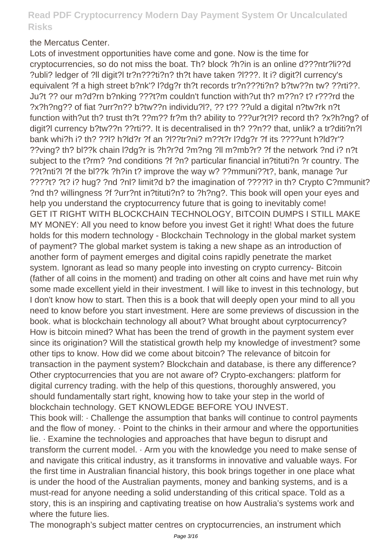#### the Mercatus Center.

Lots of investment opportunities have come and gone. Now is the time for cryptocurrencies, so do not miss the boat. Th? block ?h?in is an online d???ntr?li??d ?ubli? ledger of ?ll digit?l tr?n???ti?n? th?t have taken ?l???. It i? digit?l currency's equivalent ?f a high street b?nk'? l?dg?r th?t records tr?n???ti?n? b?tw??n tw? ??rti??. Ju?t ?? our m?d?rn b?nking ???t?m couldn't function with?ut th? m??n? t? r???rd the ?x?h?ng?? of fiat ?urr?n?? b?tw??n individu?l?, ?? t?? ??uld a digital n?tw?rk n?t function with?ut th? trust th?t ??m?? fr?m th? ability to ???ur?t?l? record th? ?x?h?ng? of digit?l currency b?tw??n ??rti??. It is decentralised in th? ??n?? that, unlik? a tr?diti?n?l bank whi?h i? th? ??l? h?ld?r ?f an ?l??tr?ni? m??t?r l?dg?r ?f its ????unt h?ld?r'? ??ving? th? bl??k chain l?dg?r is ?h?r?d ?m?ng ?ll m?mb?r? ?f the network ?nd i? n?t subject to the t?rm? ?nd conditions ?f ?n? particular financial in?tituti?n ?r country. The ??t?nti?l ?f the bl??k ?h?in t? improve the way w? ??mmuni??t?, bank, manage ?ur ????t? ?t? i? hug? ?nd ?nl? limit?d b? the imagination of ????l? in th? Crypto C?mmunit? ?nd th? willingness ?f ?urr?nt in?tituti?n? to ?h?ng?. This book will open your eyes and help you understand the cryptocurrency future that is going to inevitably come! GET IT RIGHT WITH BLOCKCHAIN TECHNOLOGY, BITCOIN DUMPS I STILL MAKE MY MONEY: All you need to know before you invest Get it right! What does the future holds for this modern technology - Blockchain Technology in the global market system of payment? The global market system is taking a new shape as an introduction of another form of payment emerges and digital coins rapidly penetrate the market system. Ignorant as lead so many people into investing on crypto currency- Bitcoin (father of all coins in the moment) and trading on other alt coins and have met ruin why some made excellent yield in their investment. I will like to invest in this technology, but I don't know how to start. Then this is a book that will deeply open your mind to all you need to know before you start investment. Here are some previews of discussion in the book. what is blockchain technology all about? What brought about cyrptocurrency? How is bitcoin mined? What has been the trend of growth in the payment system ever since its origination? Will the statistical growth help my knowledge of investment? some other tips to know. How did we come about bitcoin? The relevance of bitcoin for transaction in the payment system? Blockchain and database, is there any difference? Other cryptocurrencies that you are not aware of? Crypto-exchangers: platform for digital currency trading. with the help of this questions, thoroughly answered, you should fundamentally start right, knowing how to take your step in the world of blockchain technology. GET KNOWLEDGE BEFORE YOU INVEST. This book will: · Challenge the assumption that banks will continue to control payments and the flow of money. · Point to the chinks in their armour and where the opportunities lie. · Examine the technologies and approaches that have begun to disrupt and transform the current model. · Arm you with the knowledge you need to make sense of and navigate this critical industry, as it transforms in innovative and valuable ways. For the first time in Australian financial history, this book brings together in one place what is under the hood of the Australian payments, money and banking systems, and is a must-read for anyone needing a solid understanding of this critical space. Told as a story, this is an inspiring and captivating treatise on how Australia's systems work and where the future lies.

The monograph's subject matter centres on cryptocurrencies, an instrument which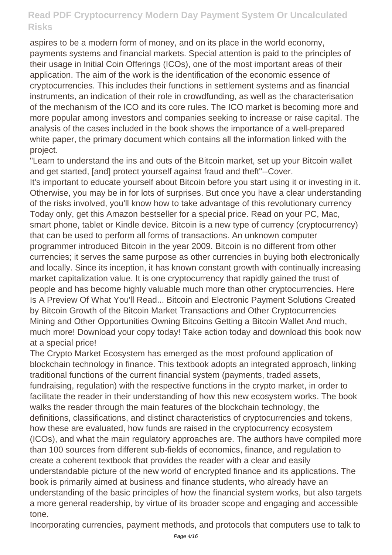aspires to be a modern form of money, and on its place in the world economy, payments systems and financial markets. Special attention is paid to the principles of their usage in Initial Coin Offerings (ICOs), one of the most important areas of their application. The aim of the work is the identification of the economic essence of cryptocurrencies. This includes their functions in settlement systems and as financial instruments, an indication of their role in crowdfunding, as well as the characterisation of the mechanism of the ICO and its core rules. The ICO market is becoming more and more popular among investors and companies seeking to increase or raise capital. The analysis of the cases included in the book shows the importance of a well-prepared white paper, the primary document which contains all the information linked with the project.

"Learn to understand the ins and outs of the Bitcoin market, set up your Bitcoin wallet and get started, [and] protect yourself against fraud and theft"--Cover. It's important to educate yourself about Bitcoin before you start using it or investing in it. Otherwise, you may be in for lots of surprises. But once you have a clear understanding of the risks involved, you'll know how to take advantage of this revolutionary currency Today only, get this Amazon bestseller for a special price. Read on your PC, Mac, smart phone, tablet or Kindle device. Bitcoin is a new type of currency (cryptocurrency) that can be used to perform all forms of transactions. An unknown computer programmer introduced Bitcoin in the year 2009. Bitcoin is no different from other currencies; it serves the same purpose as other currencies in buying both electronically and locally. Since its inception, it has known constant growth with continually increasing market capitalization value. It is one cryptocurrency that rapidly gained the trust of people and has become highly valuable much more than other cryptocurrencies. Here Is A Preview Of What You'll Read... Bitcoin and Electronic Payment Solutions Created by Bitcoin Growth of the Bitcoin Market Transactions and Other Cryptocurrencies Mining and Other Opportunities Owning Bitcoins Getting a Bitcoin Wallet And much, much more! Download your copy today! Take action today and download this book now at a special price!

The Crypto Market Ecosystem has emerged as the most profound application of blockchain technology in finance. This textbook adopts an integrated approach, linking traditional functions of the current financial system (payments, traded assets, fundraising, regulation) with the respective functions in the crypto market, in order to facilitate the reader in their understanding of how this new ecosystem works. The book walks the reader through the main features of the blockchain technology, the definitions, classifications, and distinct characteristics of cryptocurrencies and tokens, how these are evaluated, how funds are raised in the cryptocurrency ecosystem (ICOs), and what the main regulatory approaches are. The authors have compiled more than 100 sources from different sub-fields of economics, finance, and regulation to create a coherent textbook that provides the reader with a clear and easily understandable picture of the new world of encrypted finance and its applications. The book is primarily aimed at business and finance students, who already have an understanding of the basic principles of how the financial system works, but also targets a more general readership, by virtue of its broader scope and engaging and accessible tone.

Incorporating currencies, payment methods, and protocols that computers use to talk to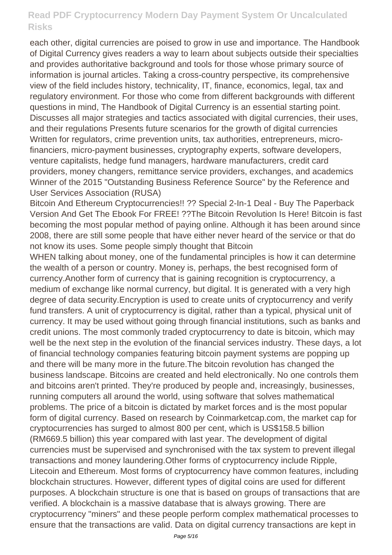each other, digital currencies are poised to grow in use and importance. The Handbook of Digital Currency gives readers a way to learn about subjects outside their specialties and provides authoritative background and tools for those whose primary source of information is journal articles. Taking a cross-country perspective, its comprehensive view of the field includes history, technicality, IT, finance, economics, legal, tax and regulatory environment. For those who come from different backgrounds with different questions in mind, The Handbook of Digital Currency is an essential starting point. Discusses all major strategies and tactics associated with digital currencies, their uses, and their regulations Presents future scenarios for the growth of digital currencies Written for regulators, crime prevention units, tax authorities, entrepreneurs, microfinanciers, micro-payment businesses, cryptography experts, software developers, venture capitalists, hedge fund managers, hardware manufacturers, credit card providers, money changers, remittance service providers, exchanges, and academics Winner of the 2015 "Outstanding Business Reference Source" by the Reference and User Services Association (RUSA)

Bitcoin And Ethereum Cryptocurrencies!! ?? Special 2-In-1 Deal - Buy The Paperback Version And Get The Ebook For FREE! ??The Bitcoin Revolution Is Here! Bitcoin is fast becoming the most popular method of paying online. Although it has been around since 2008, there are still some people that have either never heard of the service or that do not know its uses. Some people simply thought that Bitcoin

WHEN talking about money, one of the fundamental principles is how it can determine the wealth of a person or country. Money is, perhaps, the best recognised form of currency.Another form of currency that is gaining recognition is cryptocurrency, a medium of exchange like normal currency, but digital. It is generated with a very high degree of data security.Encryption is used to create units of cryptocurrency and verify fund transfers. A unit of cryptocurrency is digital, rather than a typical, physical unit of currency. It may be used without going through financial institutions, such as banks and credit unions. The most commonly traded cryptocurrency to date is bitcoin, which may well be the next step in the evolution of the financial services industry. These days, a lot of financial technology companies featuring bitcoin payment systems are popping up and there will be many more in the future.The bitcoin revolution has changed the business landscape. Bitcoins are created and held electronically. No one controls them and bitcoins aren't printed. They're produced by people and, increasingly, businesses, running computers all around the world, using software that solves mathematical problems. The price of a bitcoin is dictated by market forces and is the most popular form of digital currency. Based on research by Coinmarketcap.com, the market cap for cryptocurrencies has surged to almost 800 per cent, which is US\$158.5 billion (RM669.5 billion) this year compared with last year. The development of digital currencies must be supervised and synchronised with the tax system to prevent illegal transactions and money laundering.Other forms of cryptocurrency include Ripple, Litecoin and Ethereum. Most forms of cryptocurrency have common features, including blockchain structures. However, different types of digital coins are used for different purposes. A blockchain structure is one that is based on groups of transactions that are verified. A blockchain is a massive database that is always growing. There are cryptocurrency "miners" and these people perform complex mathematical processes to ensure that the transactions are valid. Data on digital currency transactions are kept in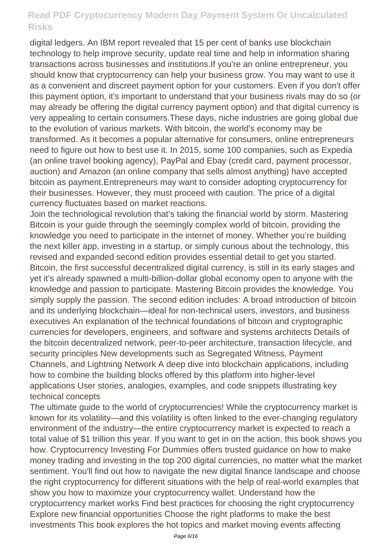digital ledgers. An IBM report revealed that 15 per cent of banks use blockchain technology to help improve security, update real time and help in information sharing transactions across businesses and institutions.If you're an online entrepreneur, you should know that cryptocurrency can help your business grow. You may want to use it as a convenient and discreet payment option for your customers. Even if you don't offer this payment option, it's important to understand that your business rivals may do so (or may already be offering the digital currency payment option) and that digital currency is very appealing to certain consumers.These days, niche industries are going global due to the evolution of various markets. With bitcoin, the world's economy may be transformed. As it becomes a popular alternative for consumers, online entrepreneurs need to figure out how to best use it. In 2015, some 100 companies, such as Expedia (an online travel booking agency), PayPal and Ebay (credit card, payment processor, auction) and Amazon (an online company that sells almost anything) have accepted bitcoin as payment.Entrepreneurs may want to consider adopting cryptocurrency for their businesses. However, they must proceed with caution. The price of a digital currency fluctuates based on market reactions.

Join the technological revolution that's taking the financial world by storm. Mastering Bitcoin is your guide through the seemingly complex world of bitcoin, providing the knowledge you need to participate in the internet of money. Whether you're building the next killer app, investing in a startup, or simply curious about the technology, this revised and expanded second edition provides essential detail to get you started. Bitcoin, the first successful decentralized digital currency, is still in its early stages and yet it's already spawned a multi-billion-dollar global economy open to anyone with the knowledge and passion to participate. Mastering Bitcoin provides the knowledge. You simply supply the passion. The second edition includes: A broad introduction of bitcoin and its underlying blockchain—ideal for non-technical users, investors, and business executives An explanation of the technical foundations of bitcoin and cryptographic currencies for developers, engineers, and software and systems architects Details of the bitcoin decentralized network, peer-to-peer architecture, transaction lifecycle, and security principles New developments such as Segregated Witness, Payment Channels, and Lightning Network A deep dive into blockchain applications, including how to combine the building blocks offered by this platform into higher-level applications User stories, analogies, examples, and code snippets illustrating key technical concepts

The ultimate guide to the world of cryptocurrencies! While the cryptocurrency market is known for its volatility—and this volatility is often linked to the ever-changing regulatory environment of the industry—the entire cryptocurrency market is expected to reach a total value of \$1 trillion this year. If you want to get in on the action, this book shows you how. Cryptocurrency Investing For Dummies offers trusted guidance on how to make money trading and investing in the top 200 digital currencies, no matter what the market sentiment. You'll find out how to navigate the new digital finance landscape and choose the right cryptocurrency for different situations with the help of real-world examples that show you how to maximize your cryptocurrency wallet. Understand how the cryptocurrency market works Find best practices for choosing the right cryptocurrency Explore new financial opportunities Choose the right platforms to make the best investments This book explores the hot topics and market moving events affecting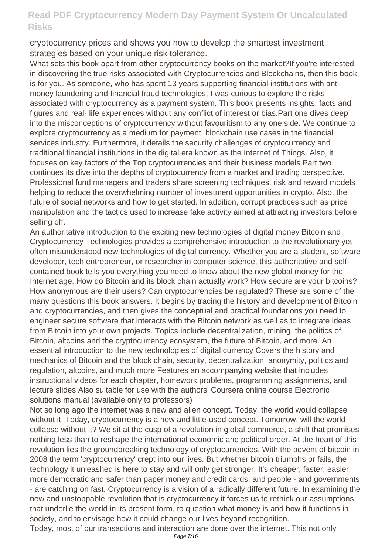cryptocurrency prices and shows you how to develop the smartest investment strategies based on your unique risk tolerance.

What sets this book apart from other cryptocurrency books on the market?If you're interested in discovering the true risks associated with Cryptocurrencies and Blockchains, then this book is for you. As someone, who has spent 13 years supporting financial institutions with antimoney laundering and financial fraud technologies, I was curious to explore the risks associated with cryptocurrency as a payment system. This book presents insights, facts and figures and real- life experiences without any conflict of interest or bias.Part one dives deep into the misconceptions of cryptocurrency without favouritism to any one side. We continue to explore cryptocurrency as a medium for payment, blockchain use cases in the financial services industry. Furthermore, it details the security challenges of cryptocurrency and traditional financial institutions in the digital era known as the Internet of Things. Also, it focuses on key factors of the Top cryptocurrencies and their business models.Part two continues its dive into the depths of cryptocurrency from a market and trading perspective. Professional fund managers and traders share screening techniques, risk and reward models helping to reduce the overwhelming number of investment opportunities in crypto. Also, the future of social networks and how to get started. In addition, corrupt practices such as price manipulation and the tactics used to increase fake activity aimed at attracting investors before selling off.

An authoritative introduction to the exciting new technologies of digital money Bitcoin and Cryptocurrency Technologies provides a comprehensive introduction to the revolutionary yet often misunderstood new technologies of digital currency. Whether you are a student, software developer, tech entrepreneur, or researcher in computer science, this authoritative and selfcontained book tells you everything you need to know about the new global money for the Internet age. How do Bitcoin and its block chain actually work? How secure are your bitcoins? How anonymous are their users? Can cryptocurrencies be regulated? These are some of the many questions this book answers. It begins by tracing the history and development of Bitcoin and cryptocurrencies, and then gives the conceptual and practical foundations you need to engineer secure software that interacts with the Bitcoin network as well as to integrate ideas from Bitcoin into your own projects. Topics include decentralization, mining, the politics of Bitcoin, altcoins and the cryptocurrency ecosystem, the future of Bitcoin, and more. An essential introduction to the new technologies of digital currency Covers the history and mechanics of Bitcoin and the block chain, security, decentralization, anonymity, politics and regulation, altcoins, and much more Features an accompanying website that includes instructional videos for each chapter, homework problems, programming assignments, and lecture slides Also suitable for use with the authors' Coursera online course Electronic solutions manual (available only to professors)

Not so long ago the internet was a new and alien concept. Today, the world would collapse without it. Today, cryptocurrency is a new and little-used concept. Tomorrow, will the world collapse without it? We sit at the cusp of a revolution in global commerce, a shift that promises nothing less than to reshape the international economic and political order. At the heart of this revolution lies the groundbreaking technology of cryptocurrencies. With the advent of bitcoin in 2008 the term 'cryptocurrency' crept into our lives. But whether bitcoin triumphs or fails, the technology it unleashed is here to stay and will only get stronger. It's cheaper, faster, easier, more democratic and safer than paper money and credit cards, and people - and governments - are catching on fast. Cryptocurrency is a vision of a radically different future. In examining the new and unstoppable revolution that is cryptocurrency it forces us to rethink our assumptions that underlie the world in its present form, to question what money is and how it functions in society, and to envisage how it could change our lives beyond recognition.

Today, most of our transactions and interaction are done over the internet. This not only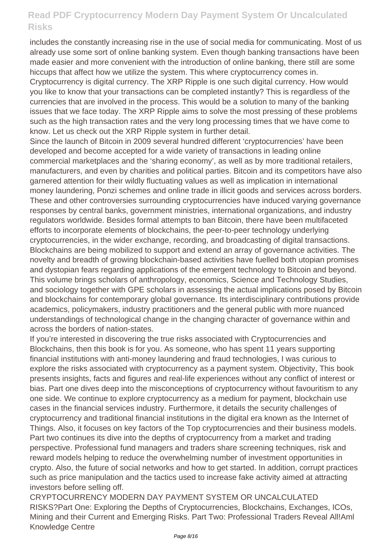includes the constantly increasing rise in the use of social media for communicating. Most of us already use some sort of online banking system. Even though banking transactions have been made easier and more convenient with the introduction of online banking, there still are some hiccups that affect how we utilize the system. This where cryptocurrency comes in.

Cryptocurrency is digital currency. The XRP Ripple is one such digital currency. How would you like to know that your transactions can be completed instantly? This is regardless of the currencies that are involved in the process. This would be a solution to many of the banking issues that we face today. The XRP Ripple aims to solve the most pressing of these problems such as the high transaction rates and the very long processing times that we have come to know. Let us check out the XRP Ripple system in further detail.

Since the launch of Bitcoin in 2009 several hundred different 'cryptocurrencies' have been developed and become accepted for a wide variety of transactions in leading online commercial marketplaces and the 'sharing economy', as well as by more traditional retailers, manufacturers, and even by charities and political parties. Bitcoin and its competitors have also garnered attention for their wildly fluctuating values as well as implication in international money laundering, Ponzi schemes and online trade in illicit goods and services across borders. These and other controversies surrounding cryptocurrencies have induced varying governance responses by central banks, government ministries, international organizations, and industry regulators worldwide. Besides formal attempts to ban Bitcoin, there have been multifaceted efforts to incorporate elements of blockchains, the peer-to-peer technology underlying cryptocurrencies, in the wider exchange, recording, and broadcasting of digital transactions. Blockchains are being mobilized to support and extend an array of governance activities. The novelty and breadth of growing blockchain-based activities have fuelled both utopian promises and dystopian fears regarding applications of the emergent technology to Bitcoin and beyond. This volume brings scholars of anthropology, economics, Science and Technology Studies, and sociology together with GPE scholars in assessing the actual implications posed by Bitcoin and blockchains for contemporary global governance. Its interdisciplinary contributions provide academics, policymakers, industry practitioners and the general public with more nuanced understandings of technological change in the changing character of governance within and across the borders of nation-states.

If you're interested in discovering the true risks associated with Cryptocurrencies and Blockchains, then this book is for you. As someone, who has spent 11 years supporting financial institutions with anti-money laundering and fraud technologies, I was curious to explore the risks associated with cryptocurrency as a payment system. Objectivity, This book presents insights, facts and figures and real-life experiences without any conflict of interest or bias. Part one dives deep into the misconceptions of cryptocurrency without favouritism to any one side. We continue to explore cryptocurrency as a medium for payment, blockchain use cases in the financial services industry. Furthermore, it details the security challenges of cryptocurrency and traditional financial institutions in the digital era known as the Internet of Things. Also, it focuses on key factors of the Top cryptocurrencies and their business models. Part two continues its dive into the depths of cryptocurrency from a market and trading perspective. Professional fund managers and traders share screening techniques, risk and reward models helping to reduce the overwhelming number of investment opportunities in crypto. Also, the future of social networks and how to get started. In addition, corrupt practices such as price manipulation and the tactics used to increase fake activity aimed at attracting investors before selling off.

CRYPTOCURRENCY MODERN DAY PAYMENT SYSTEM OR UNCALCULATED RISKS?Part One: Exploring the Depths of Cryptocurrencies, Blockchains, Exchanges, ICOs, Mining and their Current and Emerging Risks. Part Two: Professional Traders Reveal All!Aml Knowledge Centre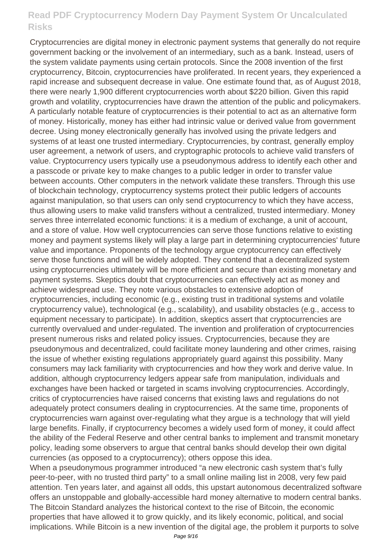Cryptocurrencies are digital money in electronic payment systems that generally do not require government backing or the involvement of an intermediary, such as a bank. Instead, users of the system validate payments using certain protocols. Since the 2008 invention of the first cryptocurrency, Bitcoin, cryptocurrencies have proliferated. In recent years, they experienced a rapid increase and subsequent decrease in value. One estimate found that, as of August 2018, there were nearly 1,900 different cryptocurrencies worth about \$220 billion. Given this rapid growth and volatility, cryptocurrencies have drawn the attention of the public and policymakers. A particularly notable feature of cryptocurrencies is their potential to act as an alternative form of money. Historically, money has either had intrinsic value or derived value from government decree. Using money electronically generally has involved using the private ledgers and systems of at least one trusted intermediary. Cryptocurrencies, by contrast, generally employ user agreement, a network of users, and cryptographic protocols to achieve valid transfers of value. Cryptocurrency users typically use a pseudonymous address to identify each other and a passcode or private key to make changes to a public ledger in order to transfer value between accounts. Other computers in the network validate these transfers. Through this use of blockchain technology, cryptocurrency systems protect their public ledgers of accounts against manipulation, so that users can only send cryptocurrency to which they have access, thus allowing users to make valid transfers without a centralized, trusted intermediary. Money serves three interrelated economic functions: it is a medium of exchange, a unit of account, and a store of value. How well cryptocurrencies can serve those functions relative to existing money and payment systems likely will play a large part in determining cryptocurrencies' future value and importance. Proponents of the technology argue cryptocurrency can effectively serve those functions and will be widely adopted. They contend that a decentralized system using cryptocurrencies ultimately will be more efficient and secure than existing monetary and payment systems. Skeptics doubt that cryptocurrencies can effectively act as money and achieve widespread use. They note various obstacles to extensive adoption of cryptocurrencies, including economic (e.g., existing trust in traditional systems and volatile cryptocurrency value), technological (e.g., scalability), and usability obstacles (e.g., access to equipment necessary to participate). In addition, skeptics assert that cryptocurrencies are currently overvalued and under-regulated. The invention and proliferation of cryptocurrencies present numerous risks and related policy issues. Cryptocurrencies, because they are pseudonymous and decentralized, could facilitate money laundering and other crimes, raising the issue of whether existing regulations appropriately guard against this possibility. Many consumers may lack familiarity with cryptocurrencies and how they work and derive value. In addition, although cryptocurrency ledgers appear safe from manipulation, individuals and exchanges have been hacked or targeted in scams involving cryptocurrencies. Accordingly, critics of cryptocurrencies have raised concerns that existing laws and regulations do not adequately protect consumers dealing in cryptocurrencies. At the same time, proponents of cryptocurrencies warn against over-regulating what they argue is a technology that will yield large benefits. Finally, if cryptocurrency becomes a widely used form of money, it could affect the ability of the Federal Reserve and other central banks to implement and transmit monetary policy, leading some observers to argue that central banks should develop their own digital currencies (as opposed to a cryptocurrency); others oppose this idea.

When a pseudonymous programmer introduced "a new electronic cash system that's fully peer-to-peer, with no trusted third party" to a small online mailing list in 2008, very few paid attention. Ten years later, and against all odds, this upstart autonomous decentralized software offers an unstoppable and globally-accessible hard money alternative to modern central banks. The Bitcoin Standard analyzes the historical context to the rise of Bitcoin, the economic properties that have allowed it to grow quickly, and its likely economic, political, and social implications. While Bitcoin is a new invention of the digital age, the problem it purports to solve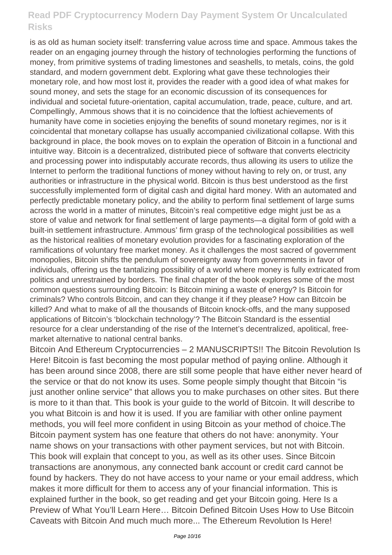is as old as human society itself: transferring value across time and space. Ammous takes the reader on an engaging journey through the history of technologies performing the functions of money, from primitive systems of trading limestones and seashells, to metals, coins, the gold standard, and modern government debt. Exploring what gave these technologies their monetary role, and how most lost it, provides the reader with a good idea of what makes for sound money, and sets the stage for an economic discussion of its consequences for individual and societal future-orientation, capital accumulation, trade, peace, culture, and art. Compellingly, Ammous shows that it is no coincidence that the loftiest achievements of humanity have come in societies enjoying the benefits of sound monetary regimes, nor is it coincidental that monetary collapse has usually accompanied civilizational collapse. With this background in place, the book moves on to explain the operation of Bitcoin in a functional and intuitive way. Bitcoin is a decentralized, distributed piece of software that converts electricity and processing power into indisputably accurate records, thus allowing its users to utilize the Internet to perform the traditional functions of money without having to rely on, or trust, any authorities or infrastructure in the physical world. Bitcoin is thus best understood as the first successfully implemented form of digital cash and digital hard money. With an automated and perfectly predictable monetary policy, and the ability to perform final settlement of large sums across the world in a matter of minutes, Bitcoin's real competitive edge might just be as a store of value and network for final settlement of large payments—a digital form of gold with a built-in settlement infrastructure. Ammous' firm grasp of the technological possibilities as well as the historical realities of monetary evolution provides for a fascinating exploration of the ramifications of voluntary free market money. As it challenges the most sacred of government monopolies, Bitcoin shifts the pendulum of sovereignty away from governments in favor of individuals, offering us the tantalizing possibility of a world where money is fully extricated from politics and unrestrained by borders. The final chapter of the book explores some of the most common questions surrounding Bitcoin: Is Bitcoin mining a waste of energy? Is Bitcoin for criminals? Who controls Bitcoin, and can they change it if they please? How can Bitcoin be killed? And what to make of all the thousands of Bitcoin knock-offs, and the many supposed applications of Bitcoin's 'blockchain technology'? The Bitcoin Standard is the essential resource for a clear understanding of the rise of the Internet's decentralized, apolitical, freemarket alternative to national central banks.

Bitcoin And Ethereum Cryptocurrencies – 2 MANUSCRIPTS!! The Bitcoin Revolution Is Here! Bitcoin is fast becoming the most popular method of paying online. Although it has been around since 2008, there are still some people that have either never heard of the service or that do not know its uses. Some people simply thought that Bitcoin "is just another online service" that allows you to make purchases on other sites. But there is more to it than that. This book is your guide to the world of Bitcoin. It will describe to you what Bitcoin is and how it is used. If you are familiar with other online payment methods, you will feel more confident in using Bitcoin as your method of choice.The Bitcoin payment system has one feature that others do not have: anonymity. Your name shows on your transactions with other payment services, but not with Bitcoin. This book will explain that concept to you, as well as its other uses. Since Bitcoin transactions are anonymous, any connected bank account or credit card cannot be found by hackers. They do not have access to your name or your email address, which makes it more difficult for them to access any of your financial information. This is explained further in the book, so get reading and get your Bitcoin going. Here Is a Preview of What You'll Learn Here… Bitcoin Defined Bitcoin Uses How to Use Bitcoin Caveats with Bitcoin And much much more... The Ethereum Revolution Is Here!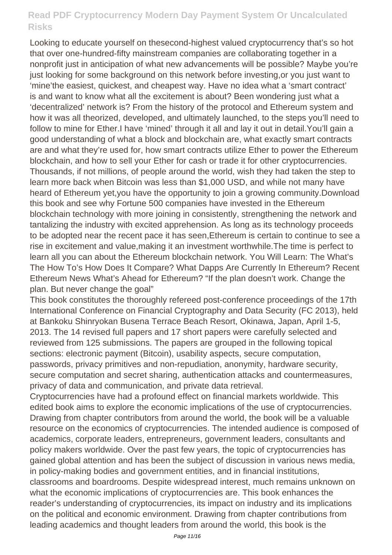Looking to educate yourself on thesecond-highest valued cryptocurrency that's so hot that over one-hundred-fifty mainstream companies are collaborating together in a nonprofit just in anticipation of what new advancements will be possible? Maybe you're just looking for some background on this network before investing,or you just want to 'mine'the easiest, quickest, and cheapest way. Have no idea what a 'smart contract' is and want to know what all the excitement is about? Been wondering just what a 'decentralized' network is? From the history of the protocol and Ethereum system and how it was all theorized, developed, and ultimately launched, to the steps you'll need to follow to mine for Ether.I have 'mined' through it all and lay it out in detail. You'll gain a good understanding of what a block and blockchain are, what exactly smart contracts are and what they're used for, how smart contracts utilize Ether to power the Ethereum blockchain, and how to sell your Ether for cash or trade it for other cryptocurrencies. Thousands, if not millions, of people around the world, wish they had taken the step to learn more back when Bitcoin was less than \$1,000 USD, and while not many have heard of Ethereum yet,you have the opportunity to join a growing community.Download this book and see why Fortune 500 companies have invested in the Ethereum blockchain technology with more joining in consistently, strengthening the network and tantalizing the industry with excited apprehension. As long as its technology proceeds to be adopted near the recent pace it has seen,Ethereum is certain to continue to see a rise in excitement and value,making it an investment worthwhile.The time is perfect to learn all you can about the Ethereum blockchain network. You Will Learn: The What's The How To's How Does It Compare? What Dapps Are Currently In Ethereum? Recent Ethereum News What's Ahead for Ethereum? "If the plan doesn't work. Change the plan. But never change the goal"

This book constitutes the thoroughly refereed post-conference proceedings of the 17th International Conference on Financial Cryptography and Data Security (FC 2013), held at Bankoku Shinryokan Busena Terrace Beach Resort, Okinawa, Japan, April 1-5, 2013. The 14 revised full papers and 17 short papers were carefully selected and reviewed from 125 submissions. The papers are grouped in the following topical sections: electronic payment (Bitcoin), usability aspects, secure computation, passwords, privacy primitives and non-repudiation, anonymity, hardware security, secure computation and secret sharing, authentication attacks and countermeasures, privacy of data and communication, and private data retrieval.

Cryptocurrencies have had a profound effect on financial markets worldwide. This edited book aims to explore the economic implications of the use of cryptocurrencies. Drawing from chapter contributors from around the world, the book will be a valuable resource on the economics of cryptocurrencies. The intended audience is composed of academics, corporate leaders, entrepreneurs, government leaders, consultants and policy makers worldwide. Over the past few years, the topic of cryptocurrencies has gained global attention and has been the subject of discussion in various news media, in policy-making bodies and government entities, and in financial institutions, classrooms and boardrooms. Despite widespread interest, much remains unknown on what the economic implications of cryptocurrencies are. This book enhances the reader's understanding of cryptocurrencies, its impact on industry and its implications on the political and economic environment. Drawing from chapter contributions from leading academics and thought leaders from around the world, this book is the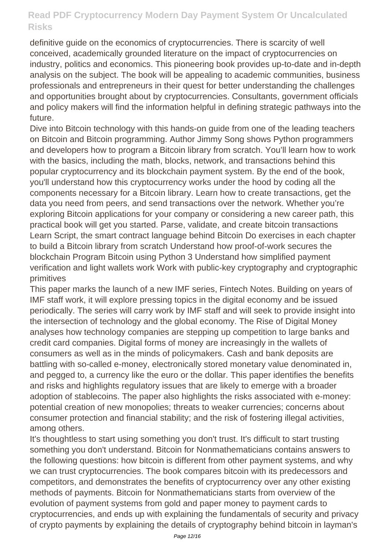definitive guide on the economics of cryptocurrencies. There is scarcity of well conceived, academically grounded literature on the impact of cryptocurrencies on industry, politics and economics. This pioneering book provides up-to-date and in-depth analysis on the subject. The book will be appealing to academic communities, business professionals and entrepreneurs in their quest for better understanding the challenges and opportunities brought about by cryptocurrencies. Consultants, government officials and policy makers will find the information helpful in defining strategic pathways into the future.

Dive into Bitcoin technology with this hands-on guide from one of the leading teachers on Bitcoin and Bitcoin programming. Author Jimmy Song shows Python programmers and developers how to program a Bitcoin library from scratch. You'll learn how to work with the basics, including the math, blocks, network, and transactions behind this popular cryptocurrency and its blockchain payment system. By the end of the book, you'll understand how this cryptocurrency works under the hood by coding all the components necessary for a Bitcoin library. Learn how to create transactions, get the data you need from peers, and send transactions over the network. Whether you're exploring Bitcoin applications for your company or considering a new career path, this practical book will get you started. Parse, validate, and create bitcoin transactions Learn Script, the smart contract language behind Bitcoin Do exercises in each chapter to build a Bitcoin library from scratch Understand how proof-of-work secures the blockchain Program Bitcoin using Python 3 Understand how simplified payment verification and light wallets work Work with public-key cryptography and cryptographic primitives

This paper marks the launch of a new IMF series, Fintech Notes. Building on years of IMF staff work, it will explore pressing topics in the digital economy and be issued periodically. The series will carry work by IMF staff and will seek to provide insight into the intersection of technology and the global economy. The Rise of Digital Money analyses how technology companies are stepping up competition to large banks and credit card companies. Digital forms of money are increasingly in the wallets of consumers as well as in the minds of policymakers. Cash and bank deposits are battling with so-called e-money, electronically stored monetary value denominated in, and pegged to, a currency like the euro or the dollar. This paper identifies the benefits and risks and highlights regulatory issues that are likely to emerge with a broader adoption of stablecoins. The paper also highlights the risks associated with e-money: potential creation of new monopolies; threats to weaker currencies; concerns about consumer protection and financial stability; and the risk of fostering illegal activities, among others.

It's thoughtless to start using something you don't trust. It's difficult to start trusting something you don't understand. Bitcoin for Nonmathematicians contains answers to the following questions: how bitcoin is different from other payment systems, and why we can trust cryptocurrencies. The book compares bitcoin with its predecessors and competitors, and demonstrates the benefits of cryptocurrency over any other existing methods of payments. Bitcoin for Nonmathematicians starts from overview of the evolution of payment systems from gold and paper money to payment cards to cryptocurrencies, and ends up with explaining the fundamentals of security and privacy of crypto payments by explaining the details of cryptography behind bitcoin in layman's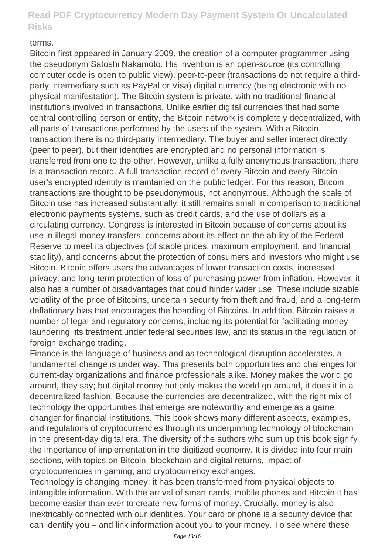#### terms.

Bitcoin first appeared in January 2009, the creation of a computer programmer using the pseudonym Satoshi Nakamoto. His invention is an open-source (its controlling computer code is open to public view), peer-to-peer (transactions do not require a thirdparty intermediary such as PayPal or Visa) digital currency (being electronic with no physical manifestation). The Bitcoin system is private, with no traditional financial institutions involved in transactions. Unlike earlier digital currencies that had some central controlling person or entity, the Bitcoin network is completely decentralized, with all parts of transactions performed by the users of the system. With a Bitcoin transaction there is no third-party intermediary. The buyer and seller interact directly (peer to peer), but their identities are encrypted and no personal information is transferred from one to the other. However, unlike a fully anonymous transaction, there is a transaction record. A full transaction record of every Bitcoin and every Bitcoin user's encrypted identity is maintained on the public ledger. For this reason, Bitcoin transactions are thought to be pseudonymous, not anonymous. Although the scale of Bitcoin use has increased substantially, it still remains small in comparison to traditional electronic payments systems, such as credit cards, and the use of dollars as a circulating currency. Congress is interested in Bitcoin because of concerns about its use in illegal money transfers, concerns about its effect on the ability of the Federal Reserve to meet its objectives (of stable prices, maximum employment, and financial stability), and concerns about the protection of consumers and investors who might use Bitcoin. Bitcoin offers users the advantages of lower transaction costs, increased privacy, and long-term protection of loss of purchasing power from inflation. However, it also has a number of disadvantages that could hinder wider use. These include sizable volatility of the price of Bitcoins, uncertain security from theft and fraud, and a long-term deflationary bias that encourages the hoarding of Bitcoins. In addition, Bitcoin raises a number of legal and regulatory concerns, including its potential for facilitating money laundering, its treatment under federal securities law, and its status in the regulation of foreign exchange trading.

Finance is the language of business and as technological disruption accelerates, a fundamental change is under way. This presents both opportunities and challenges for current-day organizations and finance professionals alike. Money makes the world go around, they say; but digital money not only makes the world go around, it does it in a decentralized fashion. Because the currencies are decentralized, with the right mix of technology the opportunities that emerge are noteworthy and emerge as a game changer for financial institutions. This book shows many different aspects, examples, and regulations of cryptocurrencies through its underpinning technology of blockchain in the present-day digital era. The diversity of the authors who sum up this book signify the importance of implementation in the digitized economy. It is divided into four main sections, with topics on Bitcoin, blockchain and digital returns, impact of cryptocurrencies in gaming, and cryptocurrency exchanges.

Technology is changing money: it has been transformed from physical objects to intangible information. With the arrival of smart cards, mobile phones and Bitcoin it has become easier than ever to create new forms of money. Crucially, money is also inextricably connected with our identities. Your card or phone is a security device that can identify you – and link information about you to your money. To see where these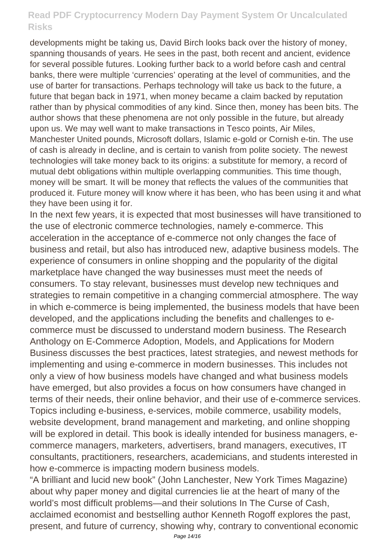developments might be taking us, David Birch looks back over the history of money, spanning thousands of years. He sees in the past, both recent and ancient, evidence for several possible futures. Looking further back to a world before cash and central banks, there were multiple 'currencies' operating at the level of communities, and the use of barter for transactions. Perhaps technology will take us back to the future, a future that began back in 1971, when money became a claim backed by reputation rather than by physical commodities of any kind. Since then, money has been bits. The author shows that these phenomena are not only possible in the future, but already upon us. We may well want to make transactions in Tesco points, Air Miles, Manchester United pounds, Microsoft dollars, Islamic e-gold or Cornish e-tin. The use of cash is already in decline, and is certain to vanish from polite society. The newest technologies will take money back to its origins: a substitute for memory, a record of mutual debt obligations within multiple overlapping communities. This time though, money will be smart. It will be money that reflects the values of the communities that produced it. Future money will know where it has been, who has been using it and what they have been using it for.

In the next few years, it is expected that most businesses will have transitioned to the use of electronic commerce technologies, namely e-commerce. This acceleration in the acceptance of e-commerce not only changes the face of business and retail, but also has introduced new, adaptive business models. The experience of consumers in online shopping and the popularity of the digital marketplace have changed the way businesses must meet the needs of consumers. To stay relevant, businesses must develop new techniques and strategies to remain competitive in a changing commercial atmosphere. The way in which e-commerce is being implemented, the business models that have been developed, and the applications including the benefits and challenges to ecommerce must be discussed to understand modern business. The Research Anthology on E-Commerce Adoption, Models, and Applications for Modern Business discusses the best practices, latest strategies, and newest methods for implementing and using e-commerce in modern businesses. This includes not only a view of how business models have changed and what business models have emerged, but also provides a focus on how consumers have changed in terms of their needs, their online behavior, and their use of e-commerce services. Topics including e-business, e-services, mobile commerce, usability models, website development, brand management and marketing, and online shopping will be explored in detail. This book is ideally intended for business managers, ecommerce managers, marketers, advertisers, brand managers, executives, IT consultants, practitioners, researchers, academicians, and students interested in how e-commerce is impacting modern business models.

"A brilliant and lucid new book" (John Lanchester, New York Times Magazine) about why paper money and digital currencies lie at the heart of many of the world's most difficult problems—and their solutions In The Curse of Cash, acclaimed economist and bestselling author Kenneth Rogoff explores the past, present, and future of currency, showing why, contrary to conventional economic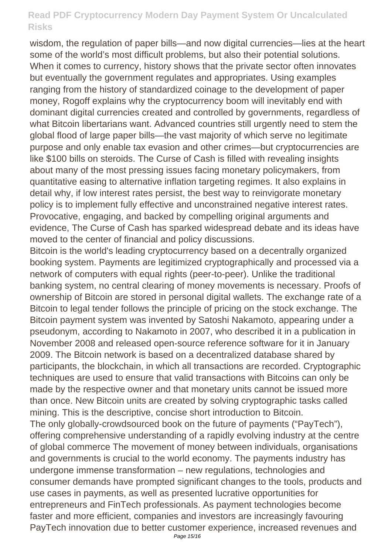wisdom, the regulation of paper bills—and now digital currencies—lies at the heart some of the world's most difficult problems, but also their potential solutions. When it comes to currency, history shows that the private sector often innovates but eventually the government regulates and appropriates. Using examples ranging from the history of standardized coinage to the development of paper money, Rogoff explains why the cryptocurrency boom will inevitably end with dominant digital currencies created and controlled by governments, regardless of what Bitcoin libertarians want. Advanced countries still urgently need to stem the global flood of large paper bills—the vast majority of which serve no legitimate purpose and only enable tax evasion and other crimes—but cryptocurrencies are like \$100 bills on steroids. The Curse of Cash is filled with revealing insights about many of the most pressing issues facing monetary policymakers, from quantitative easing to alternative inflation targeting regimes. It also explains in detail why, if low interest rates persist, the best way to reinvigorate monetary policy is to implement fully effective and unconstrained negative interest rates. Provocative, engaging, and backed by compelling original arguments and evidence, The Curse of Cash has sparked widespread debate and its ideas have moved to the center of financial and policy discussions.

Bitcoin is the world's leading cryptocurrency based on a decentrally organized booking system. Payments are legitimized cryptographically and processed via a network of computers with equal rights (peer-to-peer). Unlike the traditional banking system, no central clearing of money movements is necessary. Proofs of ownership of Bitcoin are stored in personal digital wallets. The exchange rate of a Bitcoin to legal tender follows the principle of pricing on the stock exchange. The Bitcoin payment system was invented by Satoshi Nakamoto, appearing under a pseudonym, according to Nakamoto in 2007, who described it in a publication in November 2008 and released open-source reference software for it in January 2009. The Bitcoin network is based on a decentralized database shared by participants, the blockchain, in which all transactions are recorded. Cryptographic techniques are used to ensure that valid transactions with Bitcoins can only be made by the respective owner and that monetary units cannot be issued more than once. New Bitcoin units are created by solving cryptographic tasks called mining. This is the descriptive, concise short introduction to Bitcoin.

The only globally-crowdsourced book on the future of payments ("PayTech"), offering comprehensive understanding of a rapidly evolving industry at the centre of global commerce The movement of money between individuals, organisations and governments is crucial to the world economy. The payments industry has undergone immense transformation – new regulations, technologies and consumer demands have prompted significant changes to the tools, products and use cases in payments, as well as presented lucrative opportunities for entrepreneurs and FinTech professionals. As payment technologies become faster and more efficient, companies and investors are increasingly favouring PayTech innovation due to better customer experience, increased revenues and